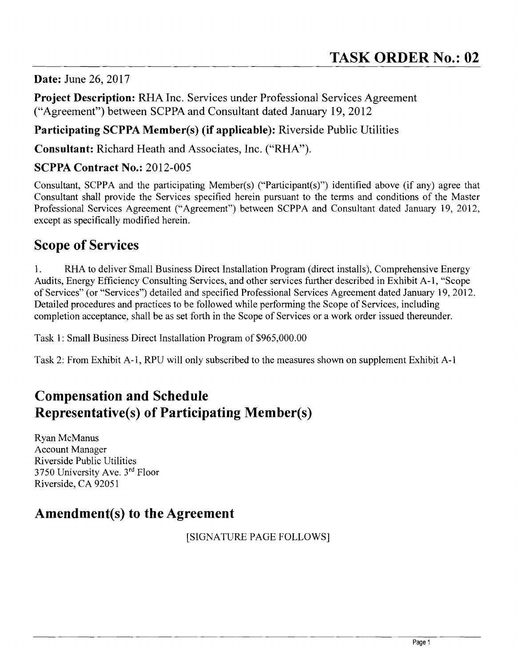**Date:** June 26, 2017

**Project Description:** RHA Inc. Services under Professional Services Agreement ("Agreement") between SCPPA and Consultant dated January 19,2012

#### **Participating SCPPA Member(s) (if applicable):** Riverside Public Utilities

**Consultant:** Richard Heath and Associates, Inc. ("RHA").

#### **SCPPA Contract No.:** 2012-005

Consultant, SCPPA and the participating Member(s) ("Participant(s)") identified above (if any) agree that Consultant shall provide the Services specified herein pursuant to the terms and conditions of the Master Professional Services Agreement ("Agreement") between SCPPA and Consultant dated January 19, 2012, except as specifically modified herein.

### **Scope of Services**

1. RHA to deliver Small Business Direct Installation Program (direct installs), Comprehensive Energy Audits, Energy Efficiency Consulting Services, and other services further described in Exhibit A-I, "Scope of Services" (or "Services") detailed and specified Professional Services Agreement dated January 19,2012. Detailed procedures and practices to be followed while performing the Scope of Services, including completion acceptance, shall be as set forth in the Scope of Services or a work order issued thereunder.

Task 1: Small Business Direct Installation Program of \$965,000.00

Task 2: From Exhibit A-I, RPU will only subscribed to the measures shown on supplement Exhibit A-I

## **Compensation and Schedule Representative(s) of Participating Member(s)**

Ryan McManus Account Manager Riverside Public Utilities 3750 University Ave. 3rd Floor Riverside, CA 92051

## **Amendment(s) to the Agreement**

[SIGNATURE PAGE FOLLOWS]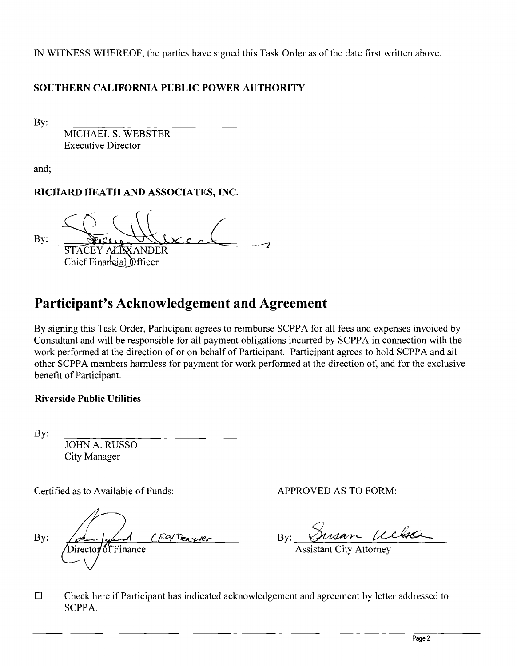IN WITNESS WHEREOF, the parties have signed this Task Order as of the date first written above.

#### **SOUTHERN CALIFORNIA PUBLIC POWER AUTHORITY**

By:

MICHAEL S. WEBSTER Executive Director

and;

#### **RICHARD HEATH AND ASSOCIATES, INC.**

By: **ANDER** Chief Financial Officer

# **Participant's Acknowledgement and Agreement**

By signing this Task Order, Participant agrees to reimburse SCPPA for all fees and expenses invoiced by Consultant and will be responsible for all payment obligations incurred by SCPPA in connection with the work performed at the direction of or on behalf of Participant. Participant agrees to hold SCPPA and all other SCPPA members harmless for payment for work performed at the direction of, and for the exclusive benefit of Participant.

#### **Riverside Public Utilities**

By:

JOHN A. RUSSO City Manager

Certified as to Available of Funds: APPROVED AS TO FORM:

CFO/Teagrer By: Director of Finance

Bv:

**Assistant City Attorney** 

 $\square$  Check here if Participant has indicated acknowledgement and agreement by letter addressed to SCPPA.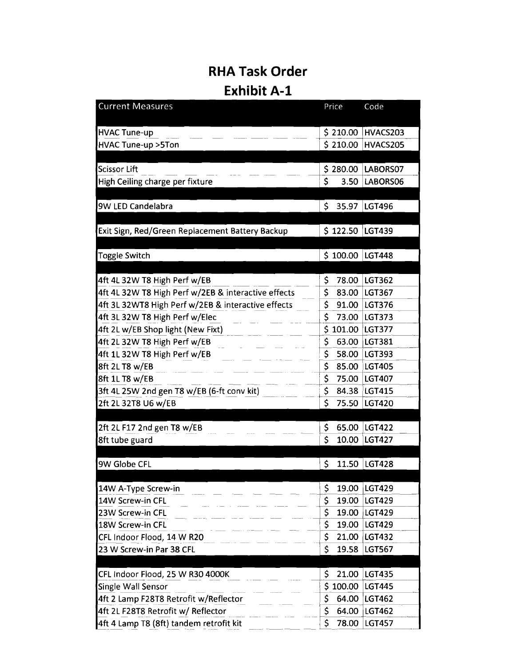## **RHA Task Order**

## **Exhibit A-1**

| <b>Current Measures</b>                             | Price       | Code          |
|-----------------------------------------------------|-------------|---------------|
| <b>HVAC Tune-up</b>                                 | \$210.00    | HVACS203      |
| <b>HVAC Tune-up &gt;5Ton</b>                        | \$210.00    | HVACS205      |
|                                                     |             |               |
| <b>Scissor Lift</b>                                 | \$280.00    | LABORS07      |
| High Ceiling charge per fixture                     | \$<br>3.50  | LABORS06      |
|                                                     |             |               |
| 9W LED Candelabra                                   | \$<br>35.97 | LGT496        |
|                                                     |             |               |
| Exit Sign, Red/Green Replacement Battery Backup     | \$122.50    | LGT439        |
|                                                     |             |               |
| <b>Toggle Switch</b>                                | \$100.00    | <b>LGT448</b> |
| 4ft 4L 32W T8 High Perf w/EB                        | \$<br>78.00 | LGT362        |
| 4ft 4L 32W T8 High Perf w/2EB & interactive effects | \$<br>83.00 | <b>LGT367</b> |
| 4ft 3L 32WT8 High Perf w/2EB & interactive effects  | \$<br>91.00 | <b>LGT376</b> |
| 4ft 3L 32W T8 High Perf w/Elec                      | \$<br>73.00 | <b>LGT373</b> |
| 4ft 2L w/EB Shop light (New Fixt)                   | \$101.00    | <b>LGT377</b> |
| 4ft 2L 32W T8 High Perf w/EB                        | \$<br>63.00 | LGT381        |
| 4ft 1L 32W T8 High Perf w/EB                        | \$<br>58.00 | LGT393        |
| 8ft 2L T8 w/EB                                      | \$<br>85.00 | <b>LGT405</b> |
| 8ft 1L T8 w/EB                                      | \$<br>75.00 | <b>LGT407</b> |
| 3ft 4L 25W 2nd gen T8 w/EB (6-ft conv kit)          | \$<br>84.38 | <b>LGT415</b> |
| 2ft 2L 32T8 U6 w/EB                                 | \$<br>75.50 | LGT420        |
|                                                     |             |               |
| 2ft 2L F17 2nd gen T8 w/EB                          | \$<br>65.00 | <b>LGT422</b> |
| 8ft tube guard                                      | \$<br>10.00 | <b>LGT427</b> |
|                                                     |             |               |
| 9W Globe CFL                                        | \$<br>11.50 | <b>LGT428</b> |
| 14W A-Type Screw-in                                 | \$<br>19.00 | LGT429        |
| 14W Screw-in CFL                                    | \$<br>19.00 | LGT429        |
| 23W Screw-in CFL                                    | \$<br>19.00 | LGT429        |
| 18W Screw-in CFL                                    | \$<br>19.00 | LGT429        |
| CFL Indoor Flood, 14 W R20                          | \$<br>21.00 | LGT432        |
| 23 W Screw-in Par 38 CFL                            | \$<br>19.58 | <b>LGT567</b> |
|                                                     |             |               |
| CFL Indoor Flood, 25 W R30 4000K                    | \$<br>21.00 | LGT435        |
| Single Wall Sensor                                  | \$100.00    | <b>LGT445</b> |
| 4ft 2 Lamp F28T8 Retrofit w/Reflector               | \$<br>64.00 | <b>LGT462</b> |
| 4ft 2L F28T8 Retrofit w/ Reflector                  | \$<br>64.00 | LGT462        |
| 4ft 4 Lamp T8 (8ft) tandem retrofit kit             | \$<br>78.00 | <b>LGT457</b> |